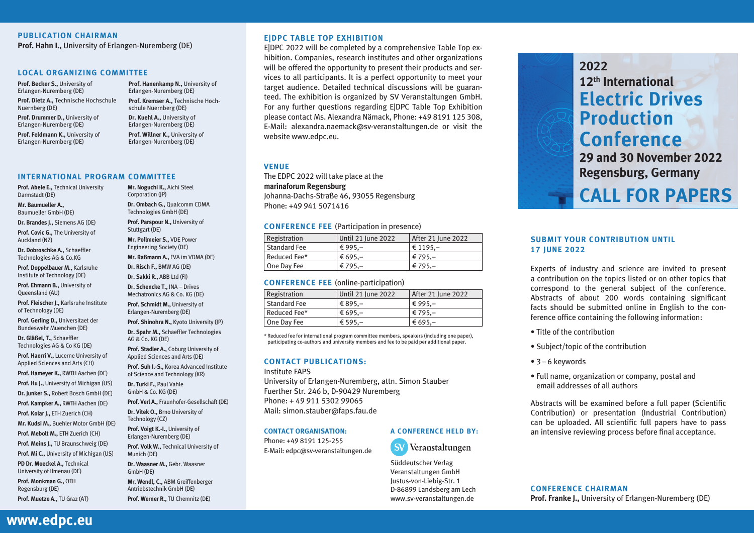# **PUBLICATION CHAIRMAN**

**Prof. Hahn I.,** University of Erlangen-Nuremberg (DE)

#### **LOCAL ORGANIZING COMMITTEE**

**Prof. Becker S.,** University of Erlangen-Nuremberg (DE) **Prof. Dietz A.,** Technische Hochschule Nuernberg (DE)

Erlangen-Nuremberg (DE) **Prof. Kremser A.,** Technische Hochschule Nuernberg (DE)

**Prof. Hanenkamp N.,** University of

**Prof. Drummer D.,** University of Erlangen-Nuremberg (DE)

Erlangen-Nuremberg (DE)

**Prof. Feldmann K.,** University of **Dr. Kuehl A.,** University of Erlangen-Nuremberg (DE) **Prof. Willner K.,** University of Erlangen-Nuremberg (DE)

**Prof. Abele E.,** Technical University Darmstadt (DE) **Mr. Baumueller A.,** Baumueller GmbH (DE) **Dr. Brandes J.,** Siemens AG (DE) **Prof. Covic G.,** The University of Auckland (NZ) **Dr. Dobroschke A.,** Schaeffler Technologies AG & Co.KG **Prof. Doppelbauer M.,** Karlsruhe Institute of Technology (DE) **Prof. Ehmann B.,** University of Queensland (AU) **Prof. Fleischer J.,** Karlsruhe Institute of Technology (DE) **Prof. Gerling D.,** Universitaet der Bundeswehr Muenchen (DE) **Dr. Gläßel, T.,** Schaeffler Technologies AG & Co KG (DE) **Prof. Haerri V.,** Lucerne University of Applied Sciences and Arts (CH) **Prof. Hameyer K.,** RWTH Aachen (DE) **Prof. Hu J.,** University of Michigan (US) **Dr. Junker S.,** Robert Bosch GmbH (DE) **Prof. Kampker A.,** RWTH Aachen (DE) **Prof. Kolar J.,** ETH Zuerich (CH) **Mr. Kudsi M.,** Buehler Motor GmbH (DE) **Prof. Mebolt M.,** ETH Zuerich (CH) **Prof. Meins J.,** TU Braunschweig (DE) **Prof. Mi C.,** University of Michigan (US) **PD Dr. Moeckel A.,** Technical University of Ilmenau (DE) **Prof. Monkman G.,** OTH Regensburg (DE) Munich (DE) GmbH (DE) **INTERNATIONAL PROGRAM COMMITTEE**

**Mr. Noguchi K.,** Aichi Steel Corporation (JP) **Dr. Ombach G.,** Qualcomm CDMA Technologies GmbH (DE) **Prof. Parspour N.,** University of **Mr. Raßmann A.,** FVA im VDMA (DE) **Prof. Shinohra N.,** Kyoto University (JP) **Dr. Spahr M.,** Schaeffler Technologies **Prof. Stadler A.,** Coburg University of **Prof. Suh I.-S.,** Korea Advanced Institute of Science and Technology (KR) **Prof. Verl A.,** Fraunhofer-Gesellschaft (DE) Technology (CZ) **Prof. Voigt K.-I.,** University of **Prof. Volk W.,** Technical University of

# **E|DPC TABLE TOP EXHIBITION**

EIDPC 2022 will be completed by a comprehensive Table Top exhibition. Companies, research institutes and other organizations will be offered the opportunity to present their products and services to all participants. It is a perfect opportunity to meet your target audience. Detailed technical discussions will be guaranteed. The exhibition is organized by SV Veranstaltungen GmbH. For any further questions regarding E|DPC Table Top Exhibition please contact Ms. Alexandra Nämack, Phone: +49 8191 125 308, E-Mail: alexandra.naemack@sv-veranstaltungen.de or visit the website www.edpc.eu.

# **VENUE**

The EDPC 2022 will take place at the **marinaforum Regensburg** Johanna-Dachs-Straße 46, 93055 Regensburg Phone: +49 941 5071416

#### **CONFERENCE FEE** (Participation in presence)

| Registration | Until 21 June 2022 | After 21 June 2022 |
|--------------|--------------------|--------------------|
| Standard Fee | € 995.-            | € 1195.–           |
| Reduced Fee* | $\epsilon$ 695.-   | € 795.–            |
| One Day Fee  | € 795,–            | € 795,–            |

#### **CONFERENCE FEE** (online-participation)

| <b>Registration</b> | Until 21 June 2022 | After 21 June 2022 |
|---------------------|--------------------|--------------------|
| Standard Fee        | € 895.–            | € 995.–            |
| Reduced Fee*        | € 695.-            | € 795,–            |
| One Day Fee         | € 595,-            | € 695,–            |

\* Reduced fee for international program committee members, speakers (including one paper), participating co-authors and university members and fee to be paid per additional paper.

# **CONTACT PUBLICATIONS:**

Institute FAPS

University of Erlangen-Nuremberg, attn. Simon Stauber Fuerther Str. 246 b, D-90429 Nuremberg Phone: + 49 911 5302 99065 Mail: simon.stauber@faps.fau.de

#### **CONTACT ORGANISATION:**

Phone: +49 8191 125-255 E-Mail: edpc@sv-veranstaltungen.de



Süddeutscher Verlag Veranstaltungen GmbH Justus-von-Liebig-Str. 1 D-86899 Landsberg am Lech www.sv-veranstaltungen.de

**2022 12th International Electric Drives Production Conference 29 and 30 November 2022**

**Regensburg, Germany**

# **CALL FOR PAPERS**

# **SUBMIT YOUR CONTRIBUTION UNTIL 17 JUNE 2022**

Experts of industry and science are invited to present a contribution on the topics listed or on other topics that correspond to the general subject of the conference. Abstracts of about 200 words containing significant facts should be submitted online in English to the conference office containing the following information:

- Title of the contribution
- Subject/topic of the contribution
- 3–6 keywords
- Full name, organization or company, postal and email addresses of all authors

Abstracts will be examined before a full paper (Scientific Contribution) or presentation (Industrial Contribution) can be uploaded. All scientific full papers have to pass an intensive reviewing process before final acceptance.

# **CONFERENCE CHAIRMAN Prof. Franke J.,** University of Erlangen-Nuremberg (DE)

**www.edpc.eu**

**Prof. Muetze A.,** TU Graz (AT)

Stuttgart (DE) **Mr. Pollmeier S.,** VDE Power Engineering Society (DE) **Dr. Risch F.,** BMW AG (DE) **Dr. Sakki R.,** ABB Ltd (FI) **Dr. Schencke T.,** INA – Drives Mechatronics AG & Co. KG (DE) **Prof. Schmidt M.,** University of Erlangen-Nuremberg (DE) AG & Co. KG (DE) Applied Sciences and Arts (DE) **Dr. Turki F.,** Paul Vahle GmbH & Co. KG (DE) **Dr. Vitek O.,** Brno University of

Erlangen-Nuremberg (DE)

**Dr. Waasner M.,** Gebr. Waasner

**Mr. Wendl, C.,** ABM Greiffenberger Antriebstechnik GmbH (DE)

**Prof. Werner R.,** TU Chemnitz (DE)